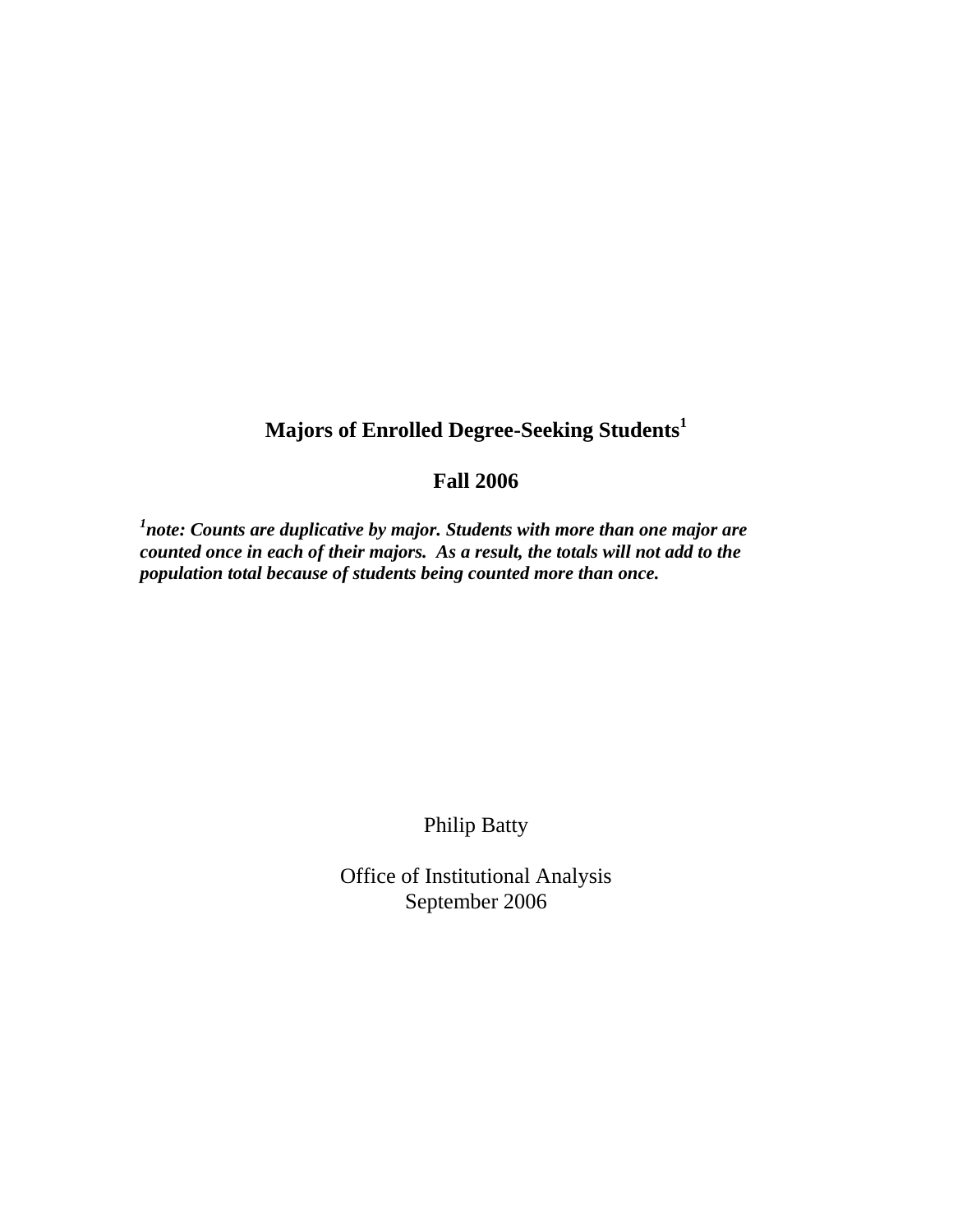## **Majors of Enrolled Degree-Seeking Students<sup>1</sup>**

## **Fall 2006**

<sup>1</sup>note: Counts are duplicative by major. Students with more than one major are *counted once in each of their majors. As a result, the totals will not add to the population total because of students being counted more than once.* 

Philip Batty

Office of Institutional Analysis September 2006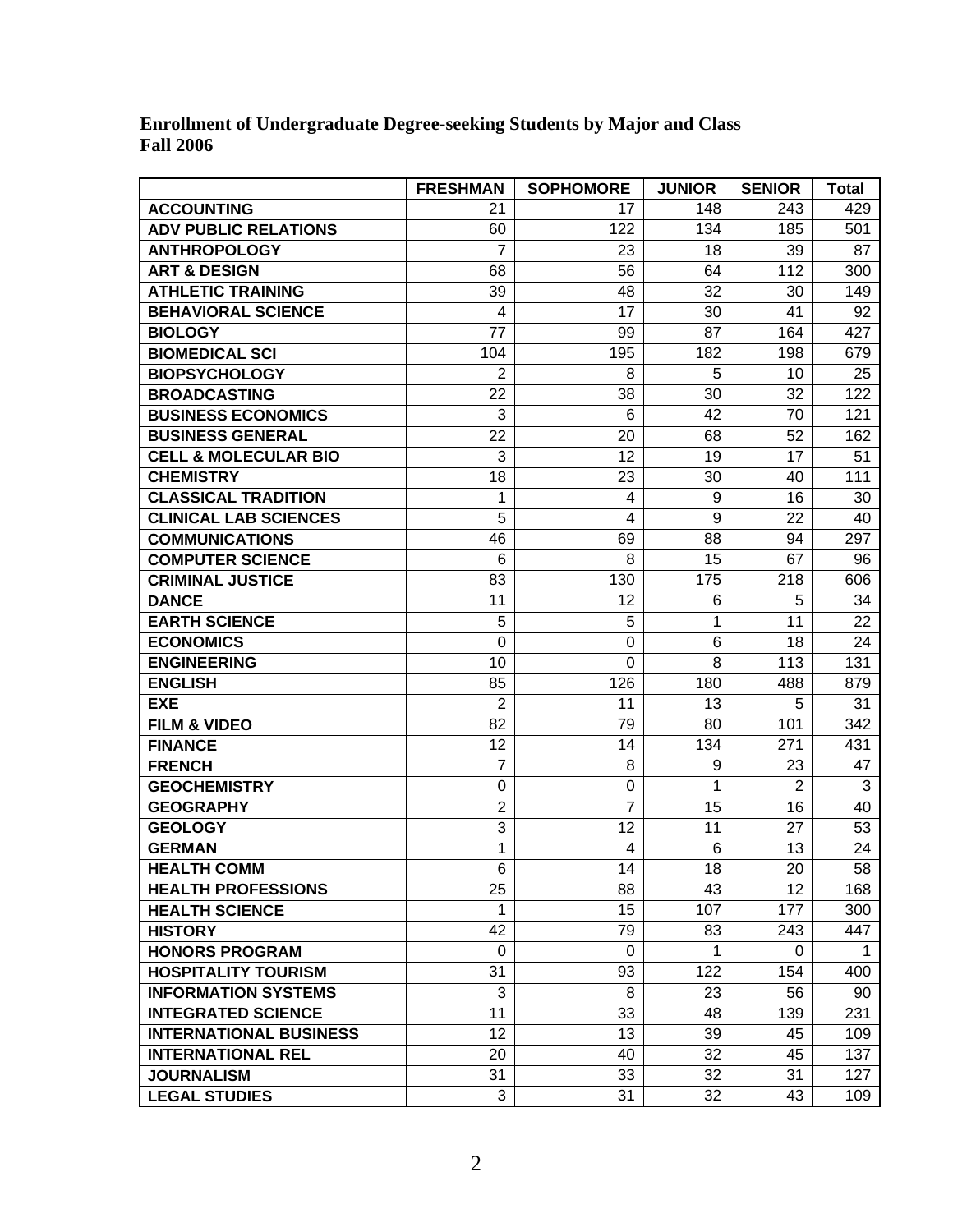**Enrollment of Undergraduate Degree-seeking Students by Major and Class Fall 2006** 

|                                 | <b>FRESHMAN</b> | <b>SOPHOMORE</b> | <b>JUNIOR</b> | <b>SENIOR</b>  | <b>Total</b> |
|---------------------------------|-----------------|------------------|---------------|----------------|--------------|
| <b>ACCOUNTING</b>               | 21              | 17               | 148           | 243            | 429          |
| <b>ADV PUBLIC RELATIONS</b>     | 60              | 122              | 134           | 185            | 501          |
| <b>ANTHROPOLOGY</b>             | 7               | 23               | 18            | 39             | 87           |
| <b>ART &amp; DESIGN</b>         | 68              | 56               | 64            | 112            | 300          |
| <b>ATHLETIC TRAINING</b>        | 39              | 48               | 32            | 30             | 149          |
| <b>BEHAVIORAL SCIENCE</b>       | 4               | 17               | 30            | 41             | 92           |
| <b>BIOLOGY</b>                  | 77              | 99               | 87            | 164            | 427          |
| <b>BIOMEDICAL SCI</b>           | 104             | 195              | 182           | 198            | 679          |
| <b>BIOPSYCHOLOGY</b>            | $\overline{2}$  | 8                | 5             | 10             | 25           |
| <b>BROADCASTING</b>             | 22              | 38               | 30            | 32             | 122          |
| <b>BUSINESS ECONOMICS</b>       | 3               | 6                | 42            | 70             | 121          |
| <b>BUSINESS GENERAL</b>         | 22              | 20               | 68            | 52             | 162          |
| <b>CELL &amp; MOLECULAR BIO</b> | 3               | 12               | 19            | 17             | 51           |
| <b>CHEMISTRY</b>                | 18              | 23               | 30            | 40             | 111          |
| <b>CLASSICAL TRADITION</b>      | 1               | 4                | 9             | 16             | 30           |
| <b>CLINICAL LAB SCIENCES</b>    | 5               | 4                | 9             | 22             | 40           |
| <b>COMMUNICATIONS</b>           | 46              | 69               | 88            | 94             | 297          |
| <b>COMPUTER SCIENCE</b>         | 6               | 8                | 15            | 67             | 96           |
| <b>CRIMINAL JUSTICE</b>         | 83              | 130              | 175           | 218            | 606          |
| <b>DANCE</b>                    | 11              | 12               | 6             | 5              | 34           |
| <b>EARTH SCIENCE</b>            | 5               | 5                | 1             | 11             | 22           |
| <b>ECONOMICS</b>                | $\mathbf 0$     | $\mathbf 0$      | 6             | 18             | 24           |
| <b>ENGINEERING</b>              | 10              | $\mathbf 0$      | 8             | 113            | 131          |
| <b>ENGLISH</b>                  | 85              | 126              | 180           | 488            | 879          |
| <b>EXE</b>                      | $\overline{2}$  | 11               | 13            | 5              | 31           |
| <b>FILM &amp; VIDEO</b>         | 82              | 79               | 80            | 101            | 342          |
| <b>FINANCE</b>                  | 12              | 14               | 134           | 271            | 431          |
| <b>FRENCH</b>                   | 7               | 8                | 9             | 23             | 47           |
| <b>GEOCHEMISTRY</b>             | 0               | 0                | 1             | $\overline{2}$ | 3            |
| <b>GEOGRAPHY</b>                | $\overline{2}$  | $\overline{7}$   | 15            | 16             | 40           |
| <b>GEOLOGY</b>                  | 3               | 12               | 11            | 27             | 53           |
| <b>GERMAN</b>                   | 1               | 4                | 6             | 13             | 24           |
| <b>HEALTH COMM</b>              | 6               | 14               | 18            | 20             | 58           |
| <b>HEALTH PROFESSIONS</b>       | 25              | 88               | 43            | 12             | 168          |
| <b>HEALTH SCIENCE</b>           | $\mathbf{1}$    | 15 <sub>15</sub> | 107           | 177            | 300          |
| <b>HISTORY</b>                  | 42              | 79               | 83            | 243            | 447          |
| <b>HONORS PROGRAM</b>           | 0               | 0                | 1             | $\Omega$       | 1            |
| <b>HOSPITALITY TOURISM</b>      | 31              | 93               | 122           | 154            | 400          |
| <b>INFORMATION SYSTEMS</b>      | 3               | 8                | 23            | 56             | 90           |
| <b>INTEGRATED SCIENCE</b>       | 11              | 33               | 48            | 139            | 231          |
| <b>INTERNATIONAL BUSINESS</b>   | 12              | 13               | 39            | 45             | 109          |
| <b>INTERNATIONAL REL</b>        | 20              | 40               | 32            | 45             | 137          |
| <b>JOURNALISM</b>               | 31              | 33               | 32            | 31             | 127          |
| <b>LEGAL STUDIES</b>            | 3               | 31               | 32            | 43             | 109          |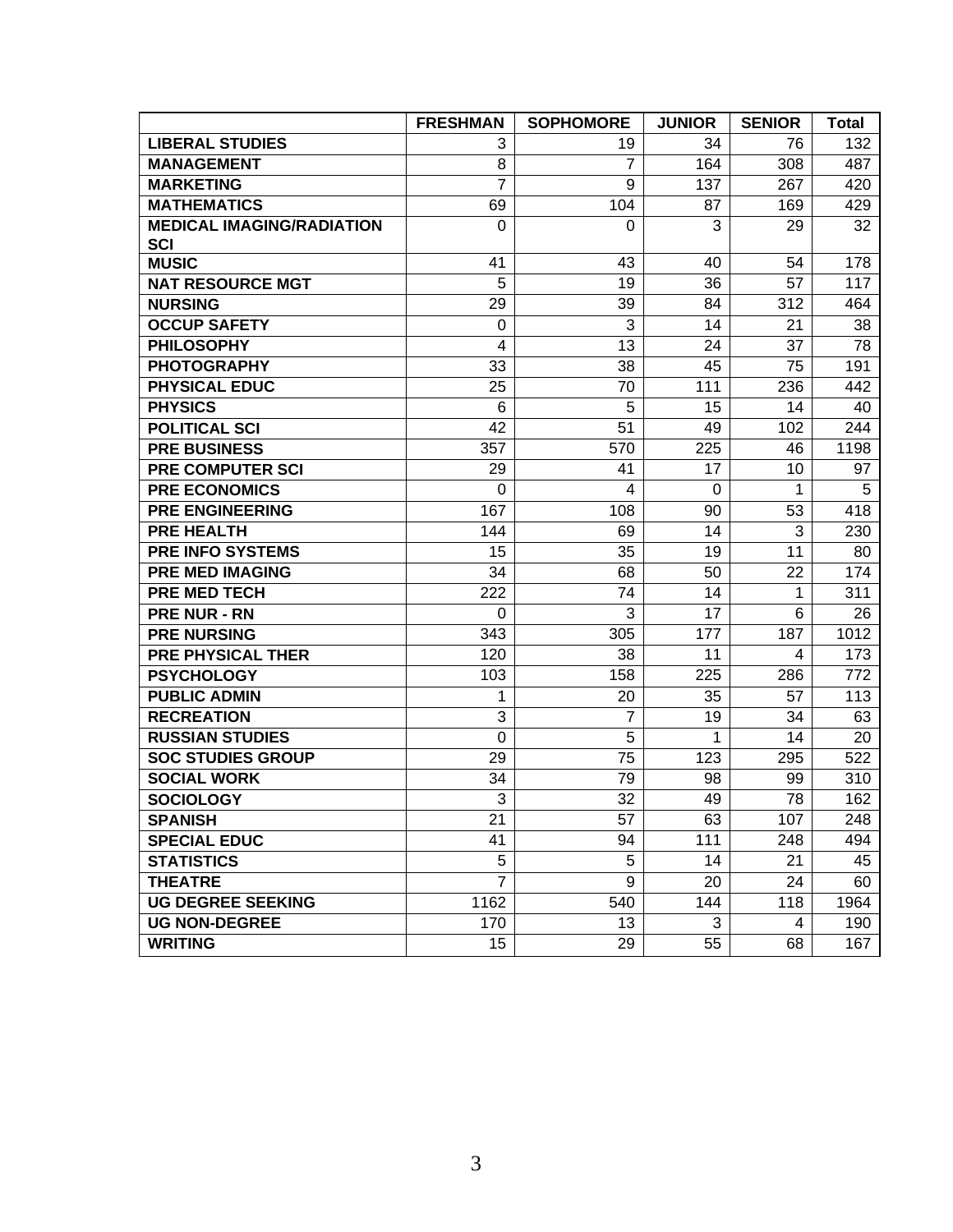|                                  | <b>FRESHMAN</b> | <b>SOPHOMORE</b> | <b>JUNIOR</b> | <b>SENIOR</b> | <b>Total</b> |
|----------------------------------|-----------------|------------------|---------------|---------------|--------------|
| <b>LIBERAL STUDIES</b>           | 3               | 19               | 34            | 76            | 132          |
| <b>MANAGEMENT</b>                | 8               | $\overline{7}$   | 164           | 308           | 487          |
| <b>MARKETING</b>                 | $\overline{7}$  | 9                | 137           | 267           | 420          |
| <b>MATHEMATICS</b>               | 69              | 104              | 87            | 169           | 429          |
| <b>MEDICAL IMAGING/RADIATION</b> | $\mathbf 0$     | $\Omega$         | 3             | 29            | 32           |
| <b>SCI</b>                       |                 |                  |               |               |              |
| <b>MUSIC</b>                     | 41              | 43               | 40            | 54            | 178          |
| <b>NAT RESOURCE MGT</b>          | 5               | 19               | 36            | 57            | 117          |
| <b>NURSING</b>                   | 29              | 39               | 84            | 312           | 464          |
| <b>OCCUP SAFETY</b>              | 0               | 3                | 14            | 21            | 38           |
| <b>PHILOSOPHY</b>                | $\overline{4}$  | 13               | 24            | 37            | 78           |
| <b>PHOTOGRAPHY</b>               | 33              | 38               | 45            | 75            | 191          |
| PHYSICAL EDUC                    | 25              | 70               | 111           | 236           | 442          |
| <b>PHYSICS</b>                   | 6               | 5                | 15            | 14            | 40           |
| <b>POLITICAL SCI</b>             | 42              | 51               | 49            | 102           | 244          |
| <b>PRE BUSINESS</b>              | 357             | 570              | 225           | 46            | 1198         |
| <b>PRE COMPUTER SCI</b>          | 29              | 41               | 17            | 10            | 97           |
| <b>PRE ECONOMICS</b>             | 0               | 4                | 0             | 1             | 5            |
| <b>PRE ENGINEERING</b>           | 167             | 108              | 90            | 53            | 418          |
| <b>PRE HEALTH</b>                | 144             | 69               | 14            | 3             | 230          |
| <b>PRE INFO SYSTEMS</b>          | 15              | 35               | 19            | 11            | 80           |
| <b>PRE MED IMAGING</b>           | 34              | 68               | 50            | 22            | 174          |
| <b>PRE MED TECH</b>              | 222             | 74               | 14            | 1             | 311          |
| <b>PRE NUR - RN</b>              | 0               | 3                | 17            | 6             | 26           |
| <b>PRE NURSING</b>               | 343             | 305              | 177           | 187           | 1012         |
| <b>PRE PHYSICAL THER</b>         | 120             | 38               | 11            | 4             | 173          |
| <b>PSYCHOLOGY</b>                | 103             | 158              | 225           | 286           | 772          |
| <b>PUBLIC ADMIN</b>              | 1               | 20               | 35            | 57            | 113          |
| <b>RECREATION</b>                | 3               | $\overline{7}$   | 19            | 34            | 63           |
| <b>RUSSIAN STUDIES</b>           | $\mathbf 0$     | 5                | 1             | 14            | 20           |
| <b>SOC STUDIES GROUP</b>         | 29              | 75               | 123           | 295           | 522          |
| <b>SOCIAL WORK</b>               | 34              | 79               | 98            | 99            | 310          |
| <b>SOCIOLOGY</b>                 | 3               | 32               | 49            | 78            | 162          |
| <b>SPANISH</b>                   | 21              | 57               | 63            | 107           | 248          |
| <b>SPECIAL EDUC</b>              | 41              | 94               | 111           | 248           | 494          |
| <b>STATISTICS</b>                | 5               | 5                | 14            | 21            | 45           |
| <b>THEATRE</b>                   | $\overline{7}$  | 9                | 20            | 24            | 60           |
| <b>UG DEGREE SEEKING</b>         | 1162            | 540              | 144           | 118           | 1964         |
| <b>UG NON-DEGREE</b>             | 170             | 13               | 3             | 4             | 190          |
| <b>WRITING</b>                   | 15              | 29               | 55            | 68            | 167          |